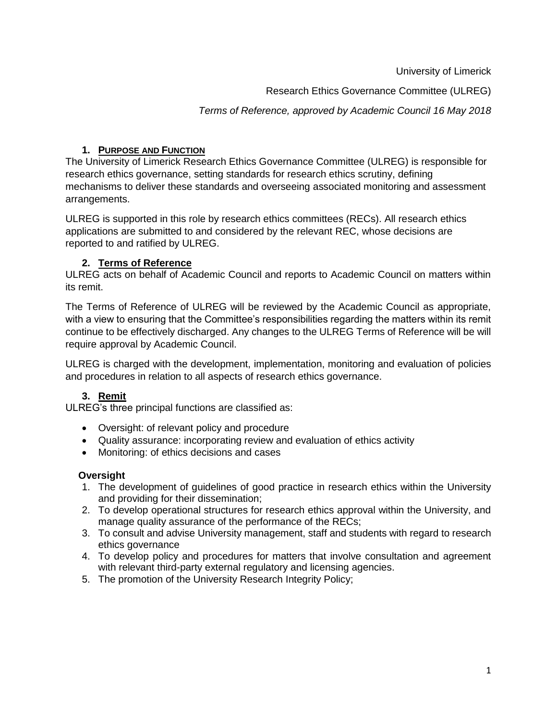University of Limerick

Research Ethics Governance Committee (ULREG)

*Terms of Reference, approved by Academic Council 16 May 2018*

## **1. PURPOSE AND FUNCTION**

The University of Limerick Research Ethics Governance Committee (ULREG) is responsible for research ethics governance, setting standards for research ethics scrutiny, defining mechanisms to deliver these standards and overseeing associated monitoring and assessment arrangements.

ULREG is supported in this role by research ethics committees (RECs). All research ethics applications are submitted to and considered by the relevant REC, whose decisions are reported to and ratified by ULREG.

# **2. Terms of Reference**

ULREG acts on behalf of Academic Council and reports to Academic Council on matters within its remit.

The Terms of Reference of ULREG will be reviewed by the Academic Council as appropriate, with a view to ensuring that the Committee's responsibilities regarding the matters within its remit continue to be effectively discharged. Any changes to the ULREG Terms of Reference will be will require approval by Academic Council.

ULREG is charged with the development, implementation, monitoring and evaluation of policies and procedures in relation to all aspects of research ethics governance.

# **3. Remit**

ULREG's three principal functions are classified as:

- Oversight: of relevant policy and procedure
- Quality assurance: incorporating review and evaluation of ethics activity
- Monitoring: of ethics decisions and cases

## **Oversight**

- 1. The development of guidelines of good practice in research ethics within the University and providing for their dissemination;
- 2. To develop operational structures for research ethics approval within the University, and manage quality assurance of the performance of the RECs;
- 3. To consult and advise University management, staff and students with regard to research ethics governance
- 4. To develop policy and procedures for matters that involve consultation and agreement with relevant third-party external regulatory and licensing agencies.
- 5. The promotion of the University Research Integrity Policy;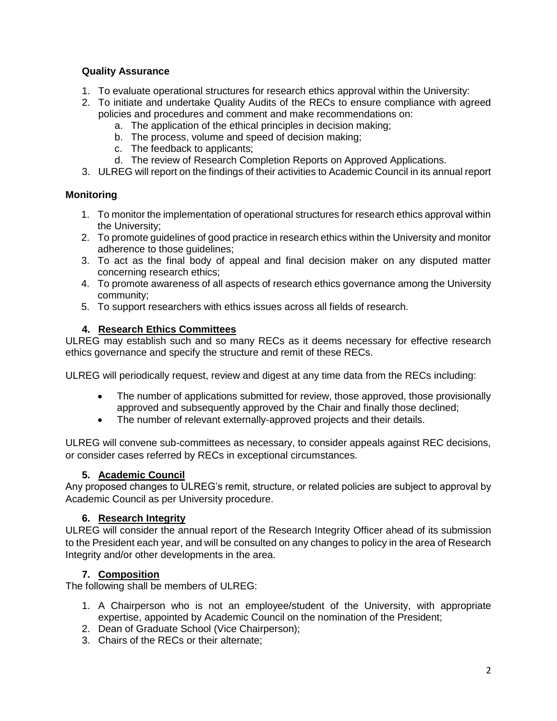## **Quality Assurance**

- 1. To evaluate operational structures for research ethics approval within the University:
- 2. To initiate and undertake Quality Audits of the RECs to ensure compliance with agreed policies and procedures and comment and make recommendations on:
	- a. The application of the ethical principles in decision making;
	- b. The process, volume and speed of decision making;
	- c. The feedback to applicants;
	- d. The review of Research Completion Reports on Approved Applications.
- 3. ULREG will report on the findings of their activities to Academic Council in its annual report

## **Monitoring**

- 1. To monitor the implementation of operational structures for research ethics approval within the University;
- 2. To promote guidelines of good practice in research ethics within the University and monitor adherence to those guidelines;
- 3. To act as the final body of appeal and final decision maker on any disputed matter concerning research ethics;
- 4. To promote awareness of all aspects of research ethics governance among the University community;
- 5. To support researchers with ethics issues across all fields of research.

### **4. Research Ethics Committees**

ULREG may establish such and so many RECs as it deems necessary for effective research ethics governance and specify the structure and remit of these RECs.

ULREG will periodically request, review and digest at any time data from the RECs including:

- The number of applications submitted for review, those approved, those provisionally approved and subsequently approved by the Chair and finally those declined;
- The number of relevant externally-approved projects and their details.

ULREG will convene sub-committees as necessary, to consider appeals against REC decisions, or consider cases referred by RECs in exceptional circumstances.

#### **5. Academic Council**

Any proposed changes to ULREG's remit, structure, or related policies are subject to approval by Academic Council as per University procedure.

## **6. Research Integrity**

ULREG will consider the annual report of the Research Integrity Officer ahead of its submission to the President each year, and will be consulted on any changes to policy in the area of Research Integrity and/or other developments in the area.

## **7. Composition**

The following shall be members of ULREG:

- 1. A Chairperson who is not an employee/student of the University, with appropriate expertise, appointed by Academic Council on the nomination of the President;
- 2. Dean of Graduate School (Vice Chairperson);
- 3. Chairs of the RECs or their alternate;